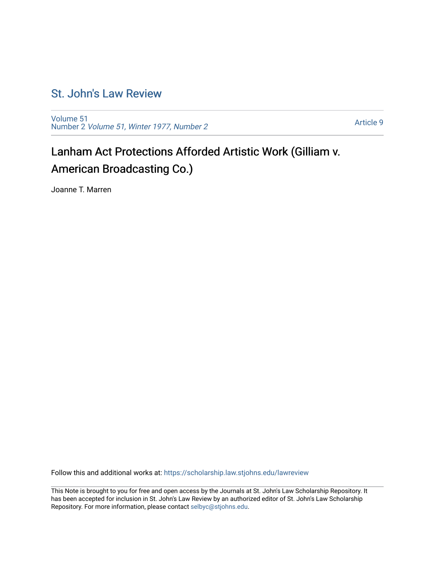## [St. John's Law Review](https://scholarship.law.stjohns.edu/lawreview)

[Volume 51](https://scholarship.law.stjohns.edu/lawreview/vol51) Number 2 [Volume 51, Winter 1977, Number 2](https://scholarship.law.stjohns.edu/lawreview/vol51/iss2)

[Article 9](https://scholarship.law.stjohns.edu/lawreview/vol51/iss2/9) 

# Lanham Act Protections Afforded Artistic Work (Gilliam v. American Broadcasting Co.)

Joanne T. Marren

Follow this and additional works at: [https://scholarship.law.stjohns.edu/lawreview](https://scholarship.law.stjohns.edu/lawreview?utm_source=scholarship.law.stjohns.edu%2Flawreview%2Fvol51%2Fiss2%2F9&utm_medium=PDF&utm_campaign=PDFCoverPages) 

This Note is brought to you for free and open access by the Journals at St. John's Law Scholarship Repository. It has been accepted for inclusion in St. John's Law Review by an authorized editor of St. John's Law Scholarship Repository. For more information, please contact [selbyc@stjohns.edu.](mailto:selbyc@stjohns.edu)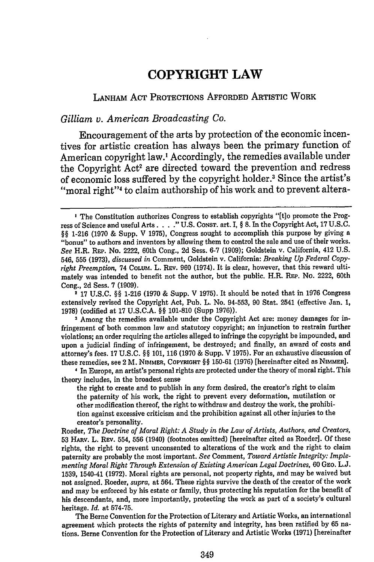## **COPYRIGHT LAW**

### LANHAM ACT PROTECTIONS AFFORDED ARTISTIC WORK

#### *Gilliam v. American Broadcasting Co.*

Encouragement of the arts **by** protection of the economic incentives for artistic creation has always been the primary function of American copyright law.' Accordingly, the remedies available under the Copyright Act<sup>2</sup> are directed toward the prevention and redress of economic loss suffered **by** the copyright holder. 3 Since the artist's "moral right"<sup>4</sup> to claim authorship of his work and to prevent altera-

2 **17 U.S.C.** §§ **1-216 (1970** & Supp. V **1975).** It should be noted that in **1976** Congress extensively revised the Copyright Act, Pub. L. No. **94-553, 90** Stat. 2541 (effective Jan. **1, 1978)** (codified at **17 U.S.C.A. §§ 101-810** (Supp **1976)).**

**3** Among the remedies available under the Copyright Act are: money damages for infringement of both common law and statutory copyright; an injunction to restrain further violations; an order requiring the articles alleged to infringe the copyright be impounded, and upon a judicial finding of infringement, be destroyed; and finally, an award of costs and attorney's fees. **17 U.S.C.** *§§* **101, 116 (1970** & Supp. V **1975).** For an exhaustive discussion of these remedies, see 2 M. **NIMMER, COPYRIGHT §§ 150-61 (1976)** [hereinafter cited as **NIMMER].**

**I** In Europe, an artist's personal rights are protected under the theory of moral right. This theory includes, in the broadest sense

the right to create and to publish in any form desired, the creator's right to claim the paternity of his work, the right to prevent every deformation, mutilation or other modification thereof, the right to withdraw and destroy the work, the prohibition against excessive criticism and the prohibition against all other injuries to the creator's personality.

Roeder, *The Doctrine of Moral Right: A Study in the Law of Artists, Authors, and Creators,* **53 HARV.** L. Rav. 554, **556** (1940) (footnotes omitted) [hereinafter cited as Roeder]. **Of** these rights, the right to prevent unconsented to alterations of the work and the right to claim paternity are probably the most important. *See* Comment, *Toward Artistic Integrity: Implementing Moral Right Through Extension of Existing American Legal Doctrines,* **60 Gao. L.J. 1539,** 1540-41 **(1972).** Moral rights are personal, not property rights, and may be waived but not assigned. Roeder, *supra,* **at** 564. These rights survive the death of the creator of the work and may be enforced **by** his estate or family, thus protecting his reputation for the benefit of his descendants, and, more importantly, protecting the work as part of a society's cultural heritage. *Id.* **at 574-75.**

The Berne Convention for the Protection of Literary and Artistic Works, an international agreement which protects the rights of paternity and integrity, has been ratified **by 65** nations. Berne Convention for the Protection of Literary and Artistic Works **(1971)** [hereinafter

**I** The Constitution authorizes Congress to establish copyrights **"[t]o** promote the Progress of Science and useful Arts. . **. ... U.S.** CoNST. art. I, **§ 8.** In the Copyright Act, **17 U.S.C. §§ 1-216 (1970 &** Supp. V **1975),** Congress sought to accomplish this purpose **by** giving a "bonus" to authors and inventors **by** allowing them to control the sale and use of their works. *See* H.R. REP. No. 2222, 60th Cong., **2d** Sess. **6-7 (1909);** Goldstein v. California, 412 **U.S.** 546, **555 (1973),** *discussed in* Comment, Goldstein v. California: *Breaking Up Federal Copyright Preemption,* 74 **COLUM.** L. **REv. 960** (1974). It is clear, however, that this reward ultimately was intended to benefit not the author, but the public. H.R. REP. No. 2222, 60th Cong., **2d** Sess. **7 (1909).**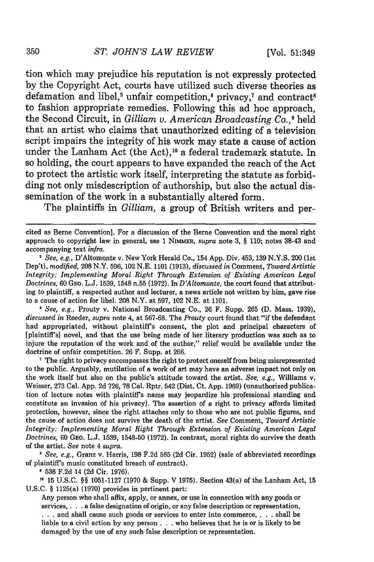tion which may prejudice his reputation is not expressly protected by the Copyright Act, courts have utilized such diverse theories as defamation and libel,<sup>5</sup> unfair competition,<sup>6</sup> privacy,<sup>7</sup> and contract<sup>8</sup> to fashion appropriate remedies. Following this ad hoc approach, the Second Circuit, in *Gilliam v. American Broadcasting Co.,9* held that an artist who claims that unauthorized editing of a television script impairs the integrity of his work may state a cause of action under the Lanham Act (the Act),<sup>10</sup> a federal trademark statute. In so holding, the court appears to have expanded the reach of the Act to protect the artistic work itself, interpreting the statute as forbidding not only misdescription of authorship, but also the actual dissemination of the work in a substantially altered form.

The plaintiffs in *Gilliam,* a group of British writers and per-

*I See, e.g.,* Prouty v. National Broadcasting Co., 26 F. Supp. 265 (D. Mass. 1939), *discussed in* Roeder, *supra* note 4, at 567-68. The *Prouty* court found that "if the defendant had appropriated, without plaintiff's consent, the plot and principal characters of [plaintiff's] novel, and that the use being made of her literary production was such as to injure the reputation of the work and of the author," relief would be available under the doctrine of unfair competition. 26 F. Supp. at 266.

**'** The right to privacy encompasses the right to protect oneself from being misrepresented to the public. Arguably, mutilation of a work of art may have an adverse impact not only on the work itself but also on the public's attitude toward the artist. *See, e.g.,* Williams v. Weisser, 273 Cal. App. 2d 726, 78 Cal. Rptr. 542 (Dist. Ct. App. 1969) (unauthorized publication of lecture notes with plaintiff's name may jeopardize his professional standing and constitute an invasion of his privacy). The assertion of a right to privacy affords limited protection, however, since the right attaches only to those who are not public figures, and the cause of action does not survive the death of the artist. *See* Comment, *Toward Artistic Integrity: Implementing Moral Right Through Extension of Existing American Legal Doctrines,* 60 GEO. L.J. 1539, 1548-50 (1972). In contrast, moral rights do survive the death of the artist. *See* note 4 *supra*.<br>*\* See, e.g., Granz v. Harris, 198 F.2d 585 (2d Cir. 1952) (sale of abbreviated recordings* 

of plaintiff's music constituted breach of contract).

**9** 538 F.2d 14 (2d Cir. 1976).

**,o** 15 U.S.C. §§ 1051-1127 (1970 & Supp. V 1975). Section 43(a) of the Lanham Act, 15 U.S.C. § 1125(a) (1970) provides in pertinent part:

Any person who shall affix, apply, or annex, or use in connection with any goods or services, . **.** . a false designation of origin, or any false description or representation, **. . .** and shall cause such goods or services to enter into commerce, . **.** . shall be liable to a civil action by any person **. . .** who believes that he is or is likely to be damaged by the use of any such false description or representation.

cited as Berne Convention]. For a discussion of the Berne Convention and the moral right approach to copyright law in general, see 1 NIMMER, *supra* note 3, § 110; notes 38-43 and accompanying text *infra.*

*<sup>5</sup> See, e.g.,* D'Altomonte v. New York Herald Co., 154 App. Div. 453, 139 N.Y.S. 200 (1st Dep't), *modified,* 208 N.Y. 596, 102 N.E. 1101 (1913), *discussed in* Comment, *Toward Artistic Integrity: Implementing Moral Right Through Extension of Existing American Legal Doctrines,* 60 GEO. L.J. 1539, 1548 n.55 (1972). In *D'Altomonte,* the court found that attributing to plaintiff, a respected author and lecturer, a news article not written by him, gave rise to a cause of action for libel. 208 N.Y. at 597, 102 N.E. at 1101.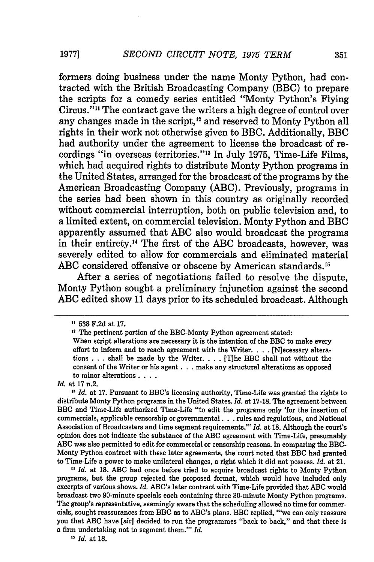formers doing business under the name Monty Python, had contracted with the British Broadcasting Company (BBC) to prepare the scripts for a comedy series entitled "Monty Python's Flying Circus."" The contract gave the writers a high degree of control over any changes made in the script,<sup>12</sup> and reserved to Monty Python all rights in their work not otherwise given to BBC. Additionally, BBC had authority under the agreement to license the broadcast of recordings "in overseas territories."<sup>13</sup> In July 1975, Time-Life Films, which had acquired rights to distribute Monty Python programs in the United States, arranged for the broadcast of the programs by the American Broadcasting Company (ABC). Previously, programs in the series had been shown in this country as originally recorded without commercial interruption, both on public television and, to a limited extent, on commercial television. Monty Python and BBC apparently assumed that ABC also would broadcast the programs in their entirety.'4 The first of the ABC broadcasts, however, was severely edited to allow for commercials and eliminated material ABC considered offensive or obscene by American standards.<sup>15</sup>

After a series of negotiations failed to resolve the dispute, Monty Python sought a preliminary injunction against the second ABC edited show 11 days prior to its scheduled broadcast. Although

**"1** *Id.* at **18. ABC** had once before tried to acquire broadcast rights to Monty Python programs, but the group rejected the proposed format, which would have included only excerpts of various shows. *Id.* ABC's later contract with Time-Life provided that ABC would broadcast two 90-minute specials each containing three 30-minute Monty Python programs. The group's representative, seemingly aware that the scheduling allowed no time for commercials, sought reassurances from BBC as to ABC's plans. BBC replied, "'we can only reassure you that **ABC** have *[sic]* decided to run the programmes "back to back," and that there is a firm undertaking not to segment them."' *Id.*

*1" Id.* at **18.**

**19771**

**<sup>&</sup>quot;** 538 F.2d at 17.

<sup>&</sup>lt;sup>12</sup> The pertinent portion of the BBC-Monty Python agreement stated:

When script alterations are necessary it is the intention of the BBC to make every effort to inform and to reach agreement with the Writer. . **.** . [N]ecessary alterations . . . shall be made by the Writer. . **.** . [Tihe BBC shall not without the consent of the Writer or his agent. **. .** make any structural alterations as opposed to minor alterations **....**

*Id.* at 17 n.2.

<sup>&</sup>lt;sup>13</sup> Id. at 17. Pursuant to BBC's licensing authority, Time-Life was granted the rights to distribute Monty Python programs in the United States. *Id.* at 17-18. The agreement between BBC and Time-Life authorized Time-Life "to edit the programs only 'for the insertion of commercials, applicable censorship or governmental. **. .** rules and regulations, and National Association of Broadcasters and time segment requirements."' *Id.* at 18. Although the court's opinion does not indicate the substance of the **ABC** agreement with Time-Life, presumably **ABC** was also permitted to edit for commercial or censorship reasons. In comparing the BBC-Monty Python contract with these later agreements, the court noted that BBC had granted to Time-Life a power to make unilateral changes, a right which it did not possess. *Id.* at 21.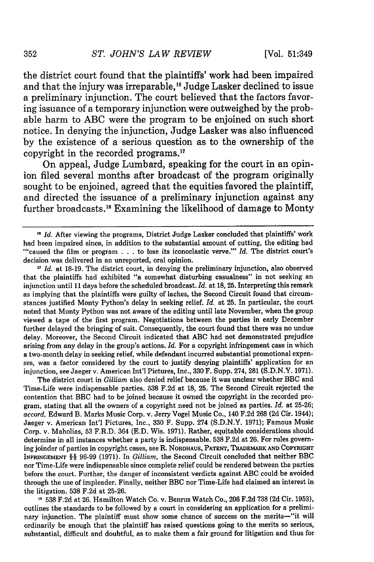the district court found that the plaintiffs' work had been impaired and that the injury was irreparable,<sup>16</sup> Judge Lasker declined to issue a preliminary injunction. The court believed that the factors favoring issuance of a temporary injunction were outweighed by the probable harm to ABC were the program to be enjoined on such short notice. In denying the injunction, Judge Lasker was also influenced by the existence of a serious question as to the ownership of the copyright in the recorded programs.<sup>17</sup>

On appeal, Judge Lumbard, speaking for the court in an opinion filed several months after broadcast of the program originally sought to be enjoined, agreed that the equities favored the plaintiff, and directed the issuance of a preliminary injunction against any further broadcasts.18 Examining the likelihood of damage to Monty

*11 Id.* at 18-19. The district court, in denying the preliminary injunction, also observed that the plaintiffs had exhibited "a somewhat disturbing casualness" in not seeking an injunction until 11 days before the scheduled broadcast. *Id.* at 18, 25. Interpreting this remark as implying that the plaintiffs were guilty of laches, the Second Circuit found that circumstances justified Monty Python's delay in seeking relief. *Id.* at 25. In particular, the court noted that Monty Python was not aware of the editing until late November, when the group viewed a tape of the first program. Negotiations between the parties in early December further delayed the bringing of suit. Consequently, the court found that there was no undue delay. Moreover, the Second Circuit indicated that ABC had not demonstrated prejudice arising from any delay in the group's actions. *Id.* For a copyright infringement case in which a two-month delay in seeking relief, while defendant incurred substantial promotional expenses, was a factor considered by the court to justify denying plaintiffs' application for an injunction, see Jaeger v. American Int'l Pictures, Inc., 330 F. Supp. 274, 281 (S.D.N.Y. 1971).

The district court in *Gilliam* also denied relief because it was unclear whether BBC and Time-Life were indispensable parties. 538 F.2d at 18, 25. The Second Circuit rejected the contention that BBC had to be joined because it owned the copyright in the recorded program, stating that all the owners of a copyright need not be joined as parties. *Id.* at 25-26; accord, Edward B. Marks Music Corp. v. Jerry Vogel Music Co., 140 F.2d 268 (2d Cir. 1944); Jaeger v. American Int'l Pictures, Inc., 330 F. Supp. 274 (S.D.N.Y. 1971); Famous Music Corp. v. Maholias, 53 F.R.D. 364 (E.D. Wis. 1971). Rather, equitable considerations should determine in all instances whether a party is indispensable. 538 F.2d at 26. For rules governing joinder of parties in copyright cases, see R. **NORDHAUS, PATENT,** TRADEMARK **AND** COPYRIGHT INFRINGEMENT §§ **96-99** (1971). In *Gilliam,* the Second Circuit concluded that neither BBC nor Time-Life were indispensable since complete relief could be rendered between the parties before the court. Further, the danger of inconsistent verdicts against ABC could be avoided through the use of impleader. Finally, neither BBC nor Time-Life had claimed an interest in the litigation. **538** F.2d at 25-26.

**<sup>6</sup>538** F.2d at **26.** Hamilton Watch Co. v. Benrus Watch Co., **206** F.2d 738 **(2d** Cir. **1953),** outlines the standards to be followed by a court in considering an application for a preliminary injunction. The plaintiff must show some chance of success on the merits-"it will ordinarily be enough that the plaintiff has raised questions going to the merits so serious, substantial, difficult and doubtful, as to make them a fair ground for litigation and thus for

**<sup>16</sup>** *Id.* After viewing the programs, District Judge Lasker concluded that plaintiffs' work had been impaired since, in addition to the substantial amount of cutting, the editing had ,"caused the film or program . . . to lose its iconoclastic verve."' *Id.* The district court's decision was delivered in an unreported, oral opinion.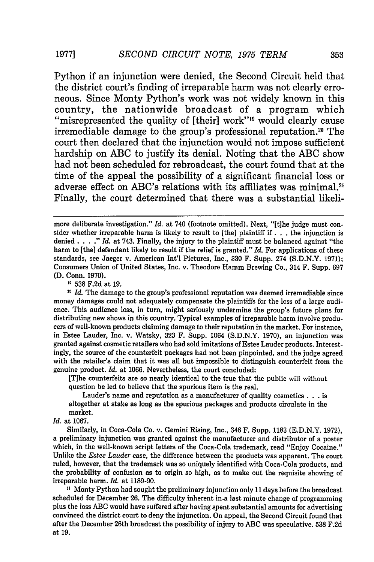Python if an injunction were denied, the Second Circuit held that the district court's finding of irreparable harm was not clearly erroneous. Since Monty Python's work was not widely known in this country, the nationwide broadcast of a program which "misrepresented the quality of [their] work"<sup>19</sup> would clearly cause irremediable damage to the group's professional reputation.<sup>20</sup> The court then declared that the injunction would not impose sufficient hardship on ABC to justify its denial. Noting that the ABC show had not been scheduled for rebroadcast, the court found that at the time of the appeal the possibility of a significant financial loss or adverse effect on ABC's relations with its affiliates was minimal.<sup>21</sup> Finally, the court determined that there was a substantial likeli-

**'1** 538 F.2d at 19.

<sup>20</sup> *Id.* The damage to the group's professional reputation was deemed irremediable since money damages could not adequately compensate the plaintiffs for the loss of a large audience. This audience loss, in turn, might seriously undermine the group's future plans for distributing new shows in this country. Typical examples of irreparable harm involve producers of well-known products claiming damage to their reputation in the market. For instance, in Estee Lauder, Inc. v. Watsky, 323 F. Supp. 1064 (S.D.N.Y. 1970), an injunction was granted against cosmetic retailers who had sold imitations of Estee Lauder products. Interestingly, the source of the counterfeit packages had not been pinpointed, and the judge agreed with the retailer's claim that it was all but impossible to distinguish counterfeit from the genuine product. *Id.* at 1066. Nevertheless, the court concluded:

[Tihe counterfeits are so nearly identical to the true that the public will without question be led to believe that the spurious item is the real.

Lauder's name and reputation as a manufacturer of quality cosmetics **. . .** is altogether at stake as long as the spurious packages and products circulate in the market.

*Id.* at 1067.

Similarly, in Coca-Cola Co. v. Gemini Rising, Inc., 346 F. Supp. 1183 (E.D.N.Y. 1972), a preliminary injunction was granted against the manufacturer and distributor of a poster which, in the well-known script letters of the Coca-Cola trademark, read "Enjoy Cocaine." Unlike the *Estee Lauder* case, the difference between the products was apparent. The court ruled, however, that the trademark was so uniquely identified with Coca-Cola products, and the probability of confusion as to origin so high, as to make out the requisite showing of irreparable harm. *Id.* at 1189-90.

<sup>21</sup> Monty Python had sought the preliminary injunction only 11 days before the broadcast scheduled for December 26. The difficulty inherent in-a last minute change of programming plus the loss ABC would have suffered after having spent substantial amounts for advertising convinced the district court to deny the injunction. On appeal, the Second Circuit found that after the December 26th broadcast the possibility of injury to ABC was speculative. 538 F.2d at 19.

**1977]**

more deliberate investigation." *Id.* at 740 (footnote omitted). Next, "[t]he judge must consider whether irreparable harm is likely to result to [the] plaintiff if **. .** . the injunction is denied. **...** *Id.* at 743. Finally, the injury to the plaintiff must be balanced against "the harm to [the] defendant likely to result if the relief is granted." *Id.* For applications of these standards, see Jaeger v. American Int'l Pictures, Inc., 330 F. Supp. 274 (S.D.N.Y. 1971); Consumers Union of United States, Inc. v. Theodore Hamm Brewing Co., 314 F. Supp. 697 **(D.** Conn. 1970).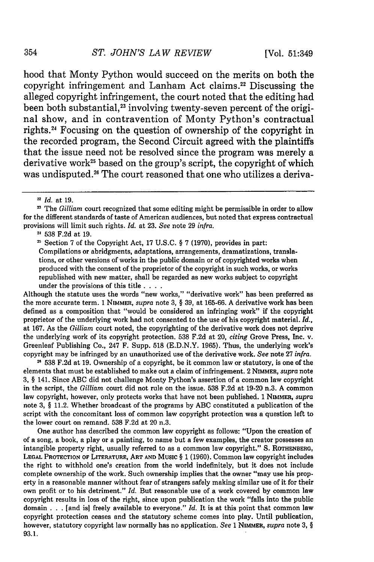hood that Monty Python would succeed on the merits on both the copyright infringement and Lanham Act claims.22 Discussing the alleged copyright infringement, the court noted that the editing had been both substantial,<sup>23</sup> involving twenty-seven percent of the original show, and in contravention of Monty Python's contractual rights. 4 Focusing on the question of ownership of the copyright in the recorded program, the Second Circuit agreed with the plaintiffs that the issue need not be resolved since the program was merely a derivative work<sup>25</sup> based on the group's script, the copyright of which was undisputed.<sup>26</sup> The court reasoned that one who utilizes a deriva-

Although the statute uses the words "new works," "derivative work" has been preferred as the more accurate term. 1 NIMMER, *supra* note 3, § 39, at 165-66. A derivative work has been defined as a composition that "would be considered an infringing work" if the copyright proprietor of the underlying work had not consented to the use of his copyright material. *Id.,* at 167. As the *Gilliam* court noted, the copyrighting of the derivative work does not deprive the underlying work of its copyright protection. 538 F.2d at 20, *citing* Grove Press, Inc. v. Greenleaf Publishing Co., 247 F. Supp. 518 (E.D.N.Y. 1965). Thus, the underlying work's copyright may be infringed by an unauthorized use of the derivative work. *See* note 27 *infra.*

**<sup>26</sup>**538 F.2d at 19. Ownership of a copyright, be it common law or statutory, is one of the elements that must be established to make out a claim of infringement. 2 NIMMER, *supra* note 3, § 141. Since ABC did not challenge Monty Python's assertion of a common law copyright in the script, the *Gilliam* court did not rule on the issue. **538** F.2d at 19-20 n.3. A common law copyright, however, only protects works that have not been published. 1 NIMMER, *supra* note 3, § 11.2. Whether broadcast of the programs by ABC constituted a publication of the script with the concomitant loss of common law copyright protection was a question left to the lower court on remand. 538 F.2d at 20 n.3.

One author has described the common law copyright as follows: "Upon the creation of of a song, a book, a play or a painting, to name but a few examples, the creator possesses an intangible property right, usually referred to as a common law copyright." S. ROTHENBG, **LEGAL PROTECTION** OF LITERATURE, ART **AND MUSIC** § 1 **(1960).** Common law copyright includes the right to withhold one's creation from the world indefinitely, but it does not include complete ownership of the work. Such ownership implies that the owner "may use his property in a reasonable manner without fear of strangers safely making similar use of it for their own profit or to his detriment." *Id.* But reasonable use of a work covered by common law copyright results in loss of the right, since upon publication the work "falls into the public domain . . . [and **is]** freely available to everyone." *Id.* It is at this point that common law copyright protection ceases and the statutory scheme comes into play. Until publication, however, statutory copyright law normally has no application. *See* 1 NIMMER, *supra* note 3, § **93.1.**

<sup>&</sup>lt;sup>22</sup> *Id.* at 19.

<sup>&</sup>lt;sup>23</sup> The *Gilliam* court recognized that some editing might be permissible in order to allow for the different standards of taste of American audiences, but noted that express contractual provisions will limit such rights. *Id.* at 23. *See* note 29 *infra.*

**<sup>21 538</sup>** F.2d at 19.

<sup>&</sup>lt;sup>25</sup> Section 7 of the Copyright Act, 17 U.S.C.  $\S 7$  (1970), provides in part: Compilations or abridgments, adaptations, arrangements, dramatizations, translations, or other versions of works in the public domain or of copyrighted works when produced with the consent of the proprietor of the copyright in such works, or works republished with new matter, shall be regarded as new works subject to copyright under the provisions of this title **....**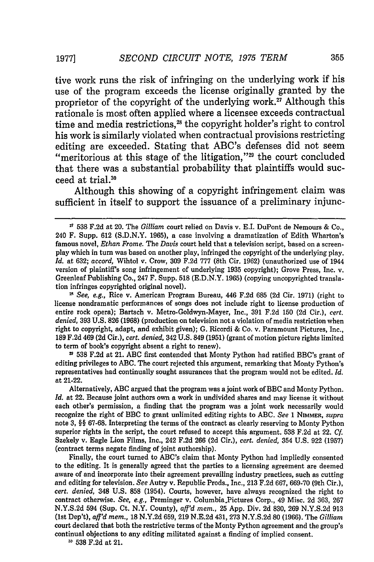tive work runs the risk of infringing on the underlying work if his use of the program exceeds the license originally granted by the proprietor of the copyright of the underlying work.<sup>27</sup> Although this rationale is most often applied where a licensee exceeds contractual time and media restrictions, $28$  the copyright holder's right to control his work is similarly violated when contractual provisions restricting editing are exceeded. Stating that ABC's defenses did not seem "meritorious at this stage of the litigation," $29$  the court concluded that there was a substantial probability that plaintiffs would succeed at trial.<sup>30</sup>

Although this showing of a copyright infringement claim was sufficient in itself to support the issuance of a preliminary injunc-

*" See, e.g.,* Rice v. American Program Bureau, 446 **F.2d 685 (2d** Cir. **1971)** (right to license nondramatic performances of songs does not include right to license production of entire rock opera); Bartsch v. Metro-Goldwyn-Mayer, Inc., **391 F.2d 150 (2d** Cir.), *cert. denied,* **393 U.S. 826 (1968)** (production on television not a violation of media restriction when right to copyright, adapt, and exhibit given); **G.** Ricordi & Co. v. Paramount Pictures, Inc., **189 F.2d** 469 **(2d** Cir.), *cert. denied,* 342 **U.S.** 849 **(1951)** (grant of motion picture rights limited to term of book's copyright absent a right to renew).

**<sup>23</sup>538 F.2d** at 21. **ABC** first contended that Monty Python had ratified BBC's grant of editing privileges to **ABC.** The court rejected this argument, remarking that Monty Python's representatives had continually sought assurances that the program would not be edited. *Id.* at 21-22.

Alternatively, ABC argued that the program was a joint work of BBC and Monty Python. *Id.* at 22. Because joint authors own a work in undivided shares and may license it without each other's permission, a finding that the program was a joint work necessarily would recognize the right of BBC to grant unlimited editing rights to **ABC.** *See* 1 **NIMMER,** *supra* note **3,** §§ **67-68.** Interpreting the terms of the contract as clearly reserving to Monty Python superior rights in the script, the court refused to accept this argument. **538 F.2d** at 22. *Cf.* Szekely v. Eagle Lion Films, Inc., 242 **F.2d 266 (2d** Cir.), *cert. denied,* 354 **U.S.** 922 **(1957)** (contract terms negate finding of joint authorship).

Finally, the court turned to ABC's claim that Monty Python had impliedly consented to the editing. It is generally agreed that the parties to a licensing agreement are deemed aware of and incorporate into their agreement prevailing industry practices, such as cutting and editing for television. *See* Autry v. Republic Prods., Inc., **213 F.2d 667, 669-70** (9th Cir.), *cert. denied,* 348 **U.S. 858** (1954). Courts, however, have always recognized the right to contract otherwise. *See, e.g.,* Preminger v. Columbia.Pictures Corp., 49 Misc. **2d 363, 267 N.Y.S.2d** 594 (Sup. Ct. N.Y. County), *aff'd mem.,* **25 App.** Div. **2d 830, 269 N.Y.S.2d 913 (1st** Dep't), *affd mem.,* **18 N.Y.2d 659, 219 N.E.2d** 431, **273 N.Y.S.2d 80 (1966).** The *Gilliam* court declared that both the restrictive terms of the Monty Python agreement and the group's continual objections to any editing militated against a finding of implied consent.

**11 538 F.2d** at 21.

**<sup>&</sup>quot;** 538 F.2d at 20. The *Gilliam* court relied on Davis v. E.I. DuPont de Nemours & Co., 240 F. Supp. 612 (S.D.N.Y. 1965), a case involving a dramatization of Edith Wharton's famous novel, *Ethan Frome.* The *Davis* court held that a television script, based on a screenplay which in turn was based on another play, infringed the copyright of the underlying play. *Id.* at 632; *accord,* Wihtol v. Crow, 309 F.2d 777 (8th Cir. 1962) (unauthorized use of 1944 version of plaintiff's song infringement of underlying 1935 copyright); Grove Press, Inc. v. Greenleaf Publishing Co., 247 F. Supp. 518 (E.D.N.Y. 1965) (copying uncopyrighted translation infringes copyrighted original novel).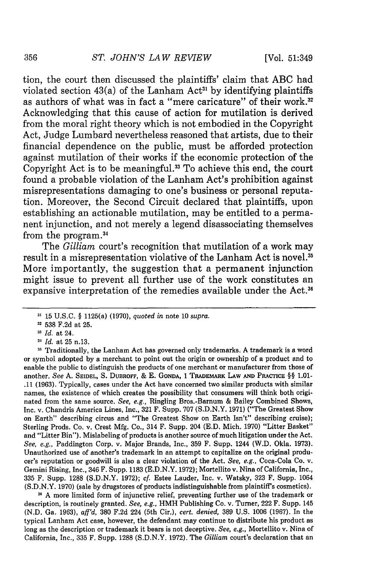tion, the court then discussed the plaintiffs' claim that ABC had violated section  $43(a)$  of the Lanham Act<sup>31</sup> by identifying plaintiffs as authors of what was in fact a "mere caricature" of their work.<sup>32</sup> Acknowledging that this cause of action for mutilation is derived from the moral right theory which is not embodied in the Copyright Act, Judge Lumbard nevertheless reasoned that artists, due to their financial dependence on the public, must be afforded protection against mutilation of their works if the economic protection of the Copyright Act is to be meaningful.<sup>33</sup> To achieve this end, the court found a probable violation of the Lanham Act's prohibition against misrepresentations damaging to one's business or personal reputation. Moreover, the Second Circuit declared that plaintiffs, upon establishing an actionable mutilation, may be entitled to a permanent injunction, and not merely a legend disassociating themselves from the program. <sup>4</sup>

The *Gilliam* court's recognition that mutilation of a work may result in a misrepresentation violative of the Lanham Act is novel.<sup>35</sup> More importantly, the suggestion that a permanent injunction might issue to prevent all further use of the work constitutes an expansive interpretation of the remedies available under the Act.<sup>36</sup>

<sup>35</sup> A more limited form of injunctive relief, preventing further use of the trademark or description, is routinely granted. *See, e.g.,* HMH Publishing Co. v. Turner, 222 F. Supp. 145 (N.D. Ga. **1963),** *aff'd,* **380** F.2d 224 (5th Cir.), *cert. denied,* **389** U.S. 1006 (1967). In the typical Lanham Act case, however, the defendant may continue to distribute his product as long as the description or trademark it bears is not deceptive. *See, e.g.,* Mortellito v. Nina of California, Inc., **335** F. Supp. 1288 (S.D.N.Y. **1972).** The *Gilliam* court's declaration that an

**<sup>31</sup>** 15 U.S.C. § 1125(a) (1970), *quoted in* note 10 *supra.*

**<sup>32</sup>** 538 F.2d at 25.

*Id.* at 24.

**<sup>&</sup>quot;** *Id.* at 25 n.13.

<sup>&</sup>lt;sup>35</sup> Traditionally, the Lanham Act has governed only trademarks. A trademark is a word or symbol adopted by a merchant to point out the origin or ownership of a product and to enable the public to distinguish the products of one merchant or manufacturer from those of another. *See* **A. SEIDEL, S.** DUBROFF, & **E. GONDA,** 1 TRADEMARK LAW **AND** PRACTICE §§ **1.01-** .11 (1963). Typically, cases under the Act have concerned two similar products with similar names, the existence of which creates the possibility that consumers will think both originated from the same source. *See, e.g.,* Ringling Bros.-Barnum & Bailey Combined Shows, Inc. v. Chandris America Lines, Inc., 321 F. Supp. 707 (S.D.N.Y. 1971) ("The Greatest Show on Earth" describing circus and "The Greatest Show on Earth Isn't" describing cruise); Sterling Prods. Co. v. Crest Mfg. Co., 314 F. Supp. 204 (E.D. Mich. 1970) "Litter Basket" and "Litter Bin"). Mislabeling of products is another source of much litigation under the Act. *See, e.g.,* Paddington Corp. v. Major Brands, Inc., **359** F. Supp. 1244 (W.D. Okla. **1973).** Unauthorized use of another's trademark in an attempt to capitalize on the original producer's reputation or goodwill is also a clear violation of the Act. *See, e.g.,* Coca-Cola Co. v. Gemini Rising, Inc., 346 F. Supp. 1183 (E.D.N.Y. 1972); Mortellito v. Nina of California, Inc., **335** F. Supp. 1288 (S.D.N.Y. 1972); cf. Estee Lauder, Inc. v. Watsky, 323 F. Supp. 1064 (S.D.N.Y. **1970)** (sale by drugstores of products indistinguishable from plaintiff's cosmetics).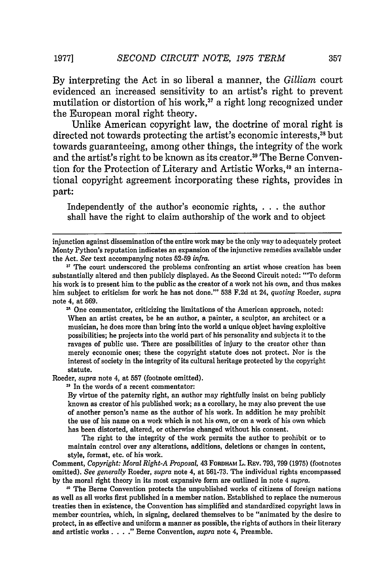By interpreting the Act in so liberal a manner, the *Gilliam* court evidenced an increased sensitivity to an artist's right to prevent mutilation or distortion of his work,<sup>37</sup> a right long recognized under the European moral right theory.

Unlike American copyright law, the doctrine of moral right is directed not towards protecting the artist's economic interests,<sup>38</sup> but towards guaranteeing, among other things, the integrity of the work and the artist's right to be known as its creator.<sup>39</sup> The Berne Convention for the Protection of Literary and Artistic Works,<sup>40</sup> an international copyright agreement incorporating these rights, provides in part:

Independently of the author's economic rights, . . the author shall have the right to claim authorship of the work and to object

<sup>35</sup> One commentator, criticizing the limitations of the American approach, noted: When an artist creates, be he an author, a painter, a sculptor, an architect or a musician, he does more than bring into the world a unique object having exploitive possibilities; he projects into the world part of his personality and subjects it to the ravages of public use. There are possibilities of injury to the creator other than merely economic ones; these the copyright statute does not protect. Nor is the interest of society in the integrity of its cultural heritage protected by the copyright statute.

Roeder, *supra* note 4, at 557 (footnote omitted).

**31** In the words of a recent commentator:

By virtue of the paternity right, an author may rightfully insist on being publicly known as creator of his published work; as a corollary, he may also prevent the use of another person's name as the author of his work. In addition he may prohibit the use of his name on a work which is not his own, or on a work of his own which has been distorted, altered, or otherwise changed without his consent.

The right to the integrity of the work permits the author to prohibit or to maintain control over any alterations, additions, deletions or changes in content, style, format, etc. of his work.

Comment, *Copyright: Moral Right-A Proposal,* 43 **FORDHAM** L. REv. 793, 799 (1975) (footnotes omitted). *See generally* Roeder, *supra* note 4, at 561-73. The individual rights encompassed by the moral right theory in its most expansive form are outlined in note 4 *supra.*

**11** The Berne Convention protects the unpublished works of citizens of foreign nations as well as all works first published in a member nation. Established to replace the numerous treaties then in existence, the Convention has simplified and standardized copyright laws in member countries, which, in signing, declared themselves to be "animated by the desire to protect, in as effective and uniform a manner as possible, the rights of authors in their literary and artistic works . **. .** ." Berne Convention, *supra* note 4, Preamble.

357

injunction against dissemination of the entire work may be the only way to adequately protect Monty Python's reputation indicates an expansion of the injunctive remedies available under the Act. *See* text accompanying notes 52-59 *infra.*

**<sup>37</sup>** The court underscored the problems confronting an artist whose creation has been substantially altered and then publicly displayed. As the Second Circuit noted: 'To deform his work is to present him to the public as the creator of a work not his own, and thus makes him subject to criticism for work he has not done."' 538 F.2d at 24, *quoting* Roeder, *supra* note 4, at 569.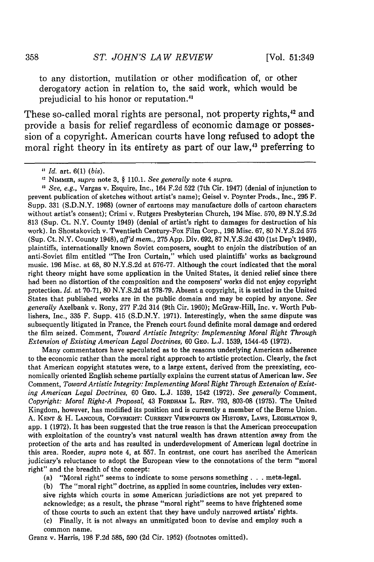to any distortion, mutilation or other modification of, or other derogatory action in relation to, the said work, which would be prejudicial to his honor or reputation.4'

These so-called moral rights are personal, not property rights,<sup>42</sup> and provide a basis for relief regardless of economic damage or possession of a copyright. American courts have long refused to adopt the moral right theory in its entirety as part of our law.<sup>43</sup> preferring to

**<sup>13</sup>***See, e.g.,* Vargas v. Esquire, Inc., 164 F.2d 522 (7th Cir. 1947) (denial of injunction to prevent publication of sketches without artist's name); Geisel v. Poynter Prods., Inc., 295 F. Supp. 331 (S.D.N.Y. 1968) (owner of cartoons may manufacture dolls of cartoon characters without artist's consent); Crimi v. Rutgers Presbyterian Church, 194 Misc. 570, 89 N.Y.S.2d 813 (Sup. Ct. N.Y. County 1949) (denial of artist's right to damages for destruction of his work). In Shostakovich v. Twentieth Century-Fox Film Corp., 196 Misc. 67, 80 N.Y.S.2d 575 (Sup. Ct. N.Y. County 1948), *aff'd mem.,* 275 App. Div. 692, 87 N.Y.S.2d 430 (lst Dep't 1949), plaintiffs, internationally known Soviet composers, sought to enjoin the distribution of an anti-Soviet film entitled "The Iron Curtain," which used plaintiffs' works as background music. 196 Misc. at 68, 80 N.Y.S.2d at 576-77. Although the court indicated that the moral right theory might have some application in the United States, it denied relief since there had been no distortion of the composition and the composers' works did not enjoy copyright protection. *Id.* at 70-71, 80 N.Y.S.2d at 578-79. Absent a copyright, it is settled in the United States that published works are in the public domain and may be copied by anyone. *See generally* Axelbank v. Rony, 277 F.2d 314 (9th Cir. 1960); McGraw-Hill, Inc. v. Worth Publishers, Inc., 335 F. Supp. 415 (S.D.N.Y. 1971). Interestingly, when the same dispute was subsequently litigated in France, the French court found definite moral damage and ordered the film seized. Comment, *Toward Artistic Integrity: Implementing Moral Right Through Extension of Existing American Legal Doctrines,* 60 GEO. L.J. 1539, 1544-45 (1972).

Many commentators have speculated as to the reasons underlying American adherence to the economic rather than the moral right approach to artistic protection. Clearly, the fact that American copyight statutes were, to a large extent, derived from the preexisting, economically oriented English scheme partially explains the current status of American law. *See* Comment, *Toward Artistic Integrity: Implementing Moral Right Through Extension of Existing American Legal Doctrines,* 60 **GEO.** L.J. 1539, 1542 (1972). *See generally* Comment, *Copyright: Moral Right-A Proposal,* 43 FORDHAM L. REv. 793, 803-08 (1975). The United Kingdom, however, has modified its position and is currently a member of the Berne Union. A. **KENT** & H. **LANCOUR,** COPYRIGHT: **CURRENT** VIEWPOINTS **ON** HISTORY, LAWS, **LEGISLATION 9,** app. 1 (1972). It has been suggested that the true reason is that the American preoccupation with exploitation of the country's vast natural wealth has drawn attention away from the protection of the arts and has resulted in underdevelopment of American legal doctrine in this area. Roeder, *supra* note 4, at 557. In contrast, one court has ascribed the American judiciary's reluctance to adopt the European view to the connotations of the term "moral right" and the breadth of the concept:

(a) "Moral right" seems to indicate to some persons something **. . .** meta-legal.

**(b)** The "moral right" doctrine, as applied in some countries, includes very extensive rights which courts in some American jurisdictions are not yet prepared to acknowledge; as a result, the phrase "moral right" seems to have frightened some of those courts to such an extent that they have unduly narrowed artists' rights.

(c) Finally, it is not always an unmitigated boon to devise and employ such a common name.

Granz v. Harris, 198 F.2d 585, 590 (2d Cir. 1952) (footnotes omitted).

*Id.* art. 6(1) *(bis).*

**<sup>12</sup>**NIMMER, *supra* note 3, **§** 110.1. *See generally* note 4 *supra.*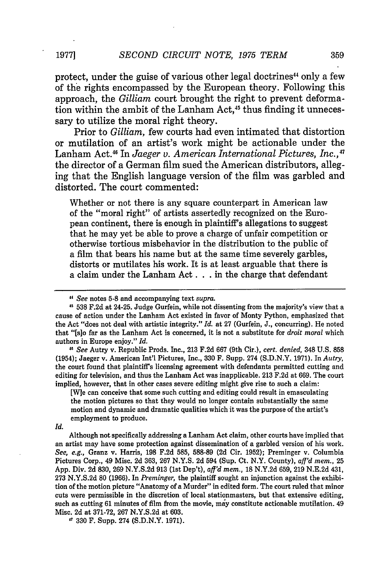protect, under the guise of various other legal doctrines<sup>44</sup> only a few of the rights encompassed by the European theory. Following this approach, the *Gilliam* court brought the right to prevent deformation within the ambit of the Lanham Act,<sup>45</sup> thus finding it unnecessary to utilize the moral right theory.

Prior to *Gilliam,* few courts had even intimated that distortion or mutilation of an artist's work might be actionable under the Lanham Act.48 In *Jaeger v. American International Pictures, Inc.,47* the director of a German film sued the American distributors, alleging that the English language version of the film was garbled and distorted. The court commented:

Whether or not there is any square counterpart in American law of the "moral right" of artists assertedly recognized on the European continent, there is enough in plaintiff's allegations to suggest that he may yet be able to prove a charge of unfair competition or otherwise tortious misbehavior in the distribution to the public of a film that bears his name but at the same time severely garbles, distorts or mutilates his work. It is at least arguable that there is a claim under the Lanham Act. **.** . in the charge that defendant

*18 See* Autry v. Republic Prods. Inc., 213 F.2d 667 (9th Cir.), *cert. denied,* 348 U.S. 858 (1954); Jaeger v. American Int'l Pictures, Inc., 330 F. Supp. 274 (S.D.N.Y. 1971). In *Autry,* the court found that plaintiff's licensing agreement with defendants permitted cutting and editing for television, and thus the Lanham Act was inapplicable. 213 F.2d at 669. The court implied, however, that in other cases severe editing might give rise to such a claim:

[W]e can conceive that some such cutting and editing could result in emasculating the motion pictures so that they would no longer contain substantially the same motion and dynamic and dramatic qualities which it was the purpose of the artist's employment to produce.

*Id.*

Although not specifically addressing a Lanham Act claim, other courts have implied that an artist may have some protection against dissemination of a garbled version of his work. *See, e.g.,* Granz v. Harris, 198 F.2d 585, 588-89 (2d Cir. 1952); Preminger v. Columbia Pictures Corp., 49 Misc. 2d 363, 267 N.Y.S. 2d 594 (Sup. Ct. N.Y. County), *aff'd mem.,* 25 App. Div. 2d 830, 269 N.Y.S.2d 913 (1st Dep't), *afl'd mem.,* 18 N.Y.2d 659, 219 N.E.2d 431, 273 N.Y.S.2d 80 (1966). In *Preminger,* the plaintiff sought an injunction against the exhibition of the motion picture "Anatomy of a Murder" in edited form. The court ruled that minor cuts were permissible in the discretion of local stationmasters, but that extensive editing, such as cutting 61 minutes of film from the movie, may constitute actionable mutilation. 49 Misc. 2d at 371-72, 267 N.Y.S.2d at 603.

**,1** 330 F. Supp. 274 (S.D.N.Y. 1971).

**1977]**

*<sup>&</sup>quot; See* notes **5-8** and accompanying text *supra.*

**<sup>538</sup>** F.2d at 24-25. Judge Gurfein, while not dissenting from the majority's view that a cause of action under the Lanham Act existed in favor of Monty Python, emphasized that the Act "does not deal with artistic integrity." *Id.* at 27 (Gurfein, J., concurring). He noted that "[s]o far as the Lanham Act is concerned, it is not a substitute for *droit moral* which authors in Europe enjoy." *Id.*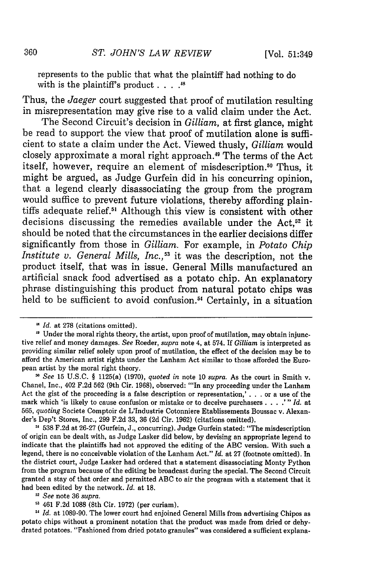represents to the public that what the plaintiff had nothing to do with is the plaintiff's product . . . .<sup>48</sup>

Thus, the *Jaeger* court suggested that proof of mutilation resulting in misrepresentation may give rise to a valid claim under the Act.

The Second Circuit's decision in *Gilliam,* at first glance, might be read to support the view that proof of mutilation alone is sufficient to state a claim under the Act. Viewed thusly, *Gilliam* would closely approximate a moral right approach. 9 The terms of the Act itself, however, require an element of misdescription.<sup>50</sup> Thus, it might be argued, as Judge Gurfein did in his concurring opinion, that a legend clearly disassociating the group from the program would suffice to prevent future violations, thereby affording plaintiffs adequate relief.<sup>51</sup> Although this view is consistent with other decisions discussing the remedies available under the Act,<sup>52</sup> it should be noted that the circumstances in the earlier decisions differ significantly from those in *Gilliam.* For example, in *Potato Chip Institute v. General Mills, Inc.*,<sup>53</sup> it was the description, not the product itself, that was in issue. General Mills manufactured an artificial snack food advertised as a potato chip. An explanatory phrase distinguishing this product from natural potato chips was held to be sufficient to avoid confusion.<sup>54</sup> Certainly, in a situation

*Id.* at 278 (citations omitted).

<sup>&</sup>lt;sup>49</sup> Under the moral rights theory, the artist, upon proof of mutilation, may obtain injunctive relief and money damages. *See* Roeder, *supra* note 4, at 574. If *Gilliam* is interpreted as providing similar relief solely upon proof of mutilation, the effect of the decision may be to afford the American artist rights under the Lanham Act similar to those afforded the European artist by the moral right theory.

<sup>&</sup>lt;sup>30</sup> See 15 U.S.C. § 1125(a) (1970), *quoted in* note 10 *supra*. As the court in Smith v.<br>Chanel, Inc., 402 F.2d 562 (9th Cir. 1968), observed: "'In any proceeding under the Lanham Act the gist of the proceeding is a false description or representation,' **. . .** or a use of the mark which 'is likely to cause confusion or mistake or to deceive purchasers .... '" *Id.* at 565, *quoting* Societe Comptoir de L'Industrie Cotonniere Etablissements Boussac v. Alexander's Dep't Stores, Inc., 299 F.2d 33, 36 (2d Cir. 1962) (citations omitted).

**<sup>11</sup>** 538 F.2d at 26-27 (Gurfein, J., concurring). Judge Gurfein stated: "The misdescription of origin can be dealt with, as Judge Lasker did below, by devising an appropriate legend to indicate that the plaintiffs had not approved the editing of the ABC version. With such a legend, there is no conceivable violation of the Lanham Act." *Id.* at 27 (footnote omitted). In the district court, Judge Lasker had ordered that a statement disassociating Monty Python from the program because of the editing be broadcast during the special. The Second Circuit granted a stay of that order and permitted ABC to air the program with a statement that it had been edited by the network. *Id.* at **18.**

**<sup>52</sup>***See* note 36 *supra.*

<sup>461</sup> F.2d **1088** (8th Cir. 1972) (per curiam).

*Id.* at 1089-90. The lower court had enjoined General Mills from advertising Chipos as potato chips without a prominent notation that the product was made from dried or dehydrated potatoes. "Fashioned from dried potato granules" was considered a sufficient explana-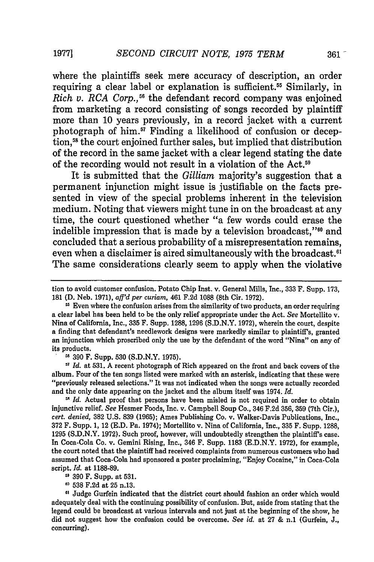where the plaintiffs seek mere accuracy of description, an order requiring a clear label or explanation is sufficient.<sup>55</sup> Similarly, in *Rich v. RCA Corp.*,<sup>56</sup> the defendant record company was enjoined from marketing a record consisting of songs recorded by plaintiff more than 10 years previously, in a record jacket with a current photograph of him.<sup>57</sup> Finding a likelihood of confusion or deception,<sup>58</sup> the court enjoined further sales, but implied that distribution of the record in the same jacket with a clear legend stating the date of the recording would not result in a violation of the Act.59

It is submitted that the *Gilliam* majority's suggestion that a permanent injunction might issue is justifiable on the facts presented in view of the special problems inherent in the television medium. Noting that viewers might tune in on the broadcast at any time, the court questioned whether "a few words could erase the indelible impression that is made by a television broadcast,"<sup>60</sup> and concluded that a serious probability of a misrepresentation remains, even when a disclaimer is aired simultaneously with the broadcast.<sup>61</sup> The same considerations clearly seem to apply when the violative

**"6** 390 F. Supp. 530 (S.D.N.Y. 1975).

**<sup>57</sup>***Id.* at 531. A recent photograph of Rich appeared on the front and back covers of the album. Four of the ten songs listed were marked with an asterisk, indicating that these were<br>"previously released selections." It was not indicated when the songs were actually recorded and the only date appearing on the jacket and the album itself was 1974. *Id.*

<sup>58</sup> *Id.* Actual proof that persons have been misled is not required in order to obtain injunctive relief. *See* Hesmer Foods, Inc. v. Campbell Soup Co., 346 F.2d 356, 359 (7th Cir.), *cert. denied,* 382 U.S. 839 (1965); Ames Publishing Co. v. Walker-Davis Publications, Inc., 372 F. Supp. 1, 12 (E.D. Pa. 1974); Mortellito v. Nina of California, Inc., 335 F. Supp. 1288, 1295 (S.D.N.Y. 1972). Such proof, however, will undoubtedly strengthen the plaintiff's case. In Coca-Cola Co. v. Gemini Rising, Inc., 346 F. Supp. 1183 (E.D.N.Y. 1972), for example, the court noted that the plaintiff had received complaints from numerous customers who had assumed that Coca-Cola had sponsored a poster proclaiming, "Enjoy Cocaine," in Coca-Cola script. *Id.* at 1188-89.

**11** 390 F. Supp. at 531.

**1 538** F.2d at 25 n.13.

**61** Judge Gurfein indicated that the district court should fashion an order which would adequately deal with the continuing possibility of confusion. But, aside from stating that the legend could be broadcast at various intervals and not just at the beginning of the show, he did not suggest how the confusion could be overcome. *See id.* at 27 & n.1 (Gurfein, J., concurring).

tion to avoid customer confusion. Potato Chip Inst. v. General Mills, Inc., 333 F. Supp. 173, **181** (D. Neb. 1971), aff'd *per curiam,* 461 F.2d 1088 (8th Cir. 1972).

<sup>&</sup>lt;sup>55</sup> Even where the confusion arises from the similarity of two products, an order requiring a clear label has been held to be the only relief appropriate under the Act. *See* Mortellito v. Nina of California, Inc., 335 F. Supp. 1288, 1296 (S.D.N.Y. 1972), wherein the court, despite a finding that defendant's needlework designs were markedly similar to plaintiff's, granted an injunction which proscribed only the use by the defendant of the word "Nina" on any of its products.